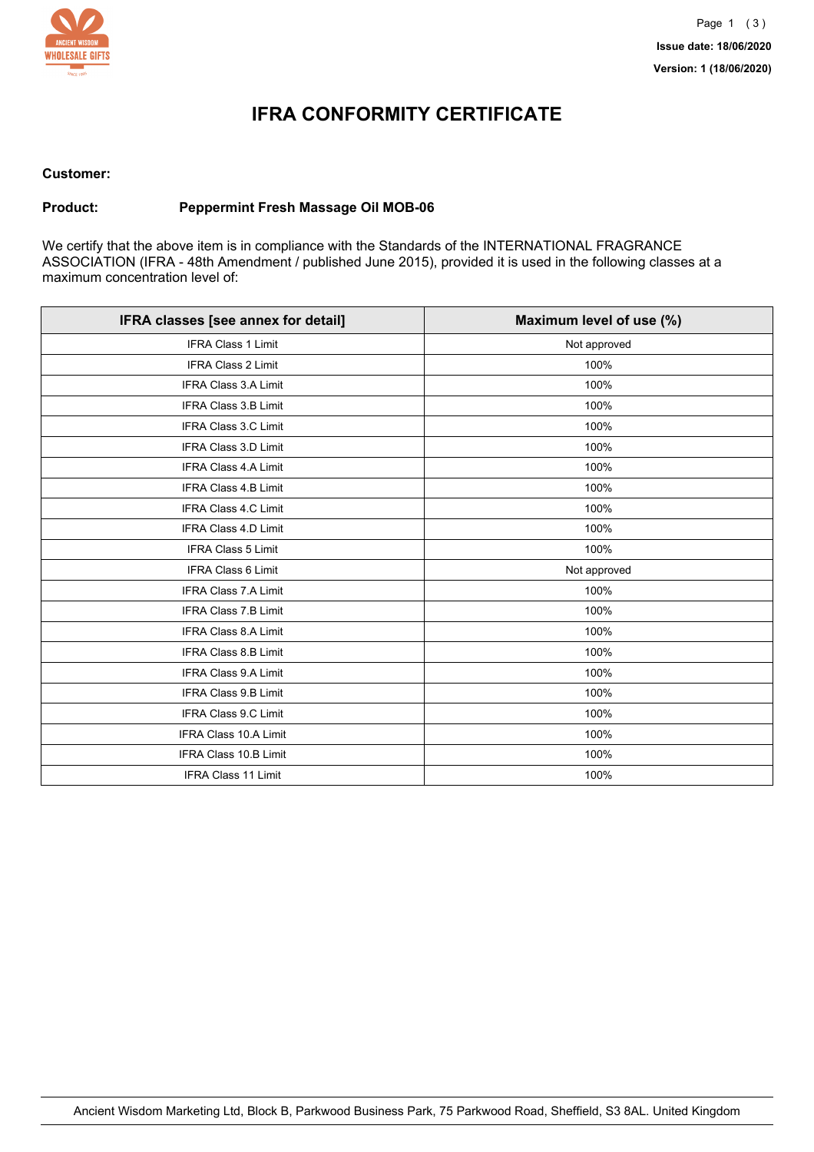

## **IFRA CONFORMITY CERTIFICATE**

#### **Customer:**

### **Product: Peppermint Fresh Massage Oil MOB-06**

We certify that the above item is in compliance with the Standards of the INTERNATIONAL FRAGRANCE ASSOCIATION (IFRA - 48th Amendment / published June 2015), provided it is used in the following classes at a maximum concentration level of:

| IFRA classes [see annex for detail] | Maximum level of use (%) |
|-------------------------------------|--------------------------|
| <b>IFRA Class 1 Limit</b>           | Not approved             |
| IFRA Class 2 Limit                  | 100%                     |
| <b>IFRA Class 3.A Limit</b>         | 100%                     |
| IFRA Class 3.B Limit                | 100%                     |
| <b>IFRA Class 3.C Limit</b>         | 100%                     |
| <b>IFRA Class 3.D Limit</b>         | 100%                     |
| IFRA Class 4.A Limit                | 100%                     |
| <b>IFRA Class 4.B Limit</b>         | 100%                     |
| <b>IFRA Class 4.C Limit</b>         | 100%                     |
| <b>IFRA Class 4.D Limit</b>         | 100%                     |
| <b>IFRA Class 5 Limit</b>           | 100%                     |
| IFRA Class 6 Limit                  | Not approved             |
| <b>IFRA Class 7.A Limit</b>         | 100%                     |
| <b>IFRA Class 7.B Limit</b>         | 100%                     |
| <b>IFRA Class 8.A Limit</b>         | 100%                     |
| IFRA Class 8.B Limit                | 100%                     |
| <b>IFRA Class 9.A Limit</b>         | 100%                     |
| <b>IFRA Class 9.B Limit</b>         | 100%                     |
| IFRA Class 9.C Limit                | 100%                     |
| <b>IFRA Class 10.A Limit</b>        | 100%                     |
| IFRA Class 10.B Limit               | 100%                     |
| IFRA Class 11 Limit                 | 100%                     |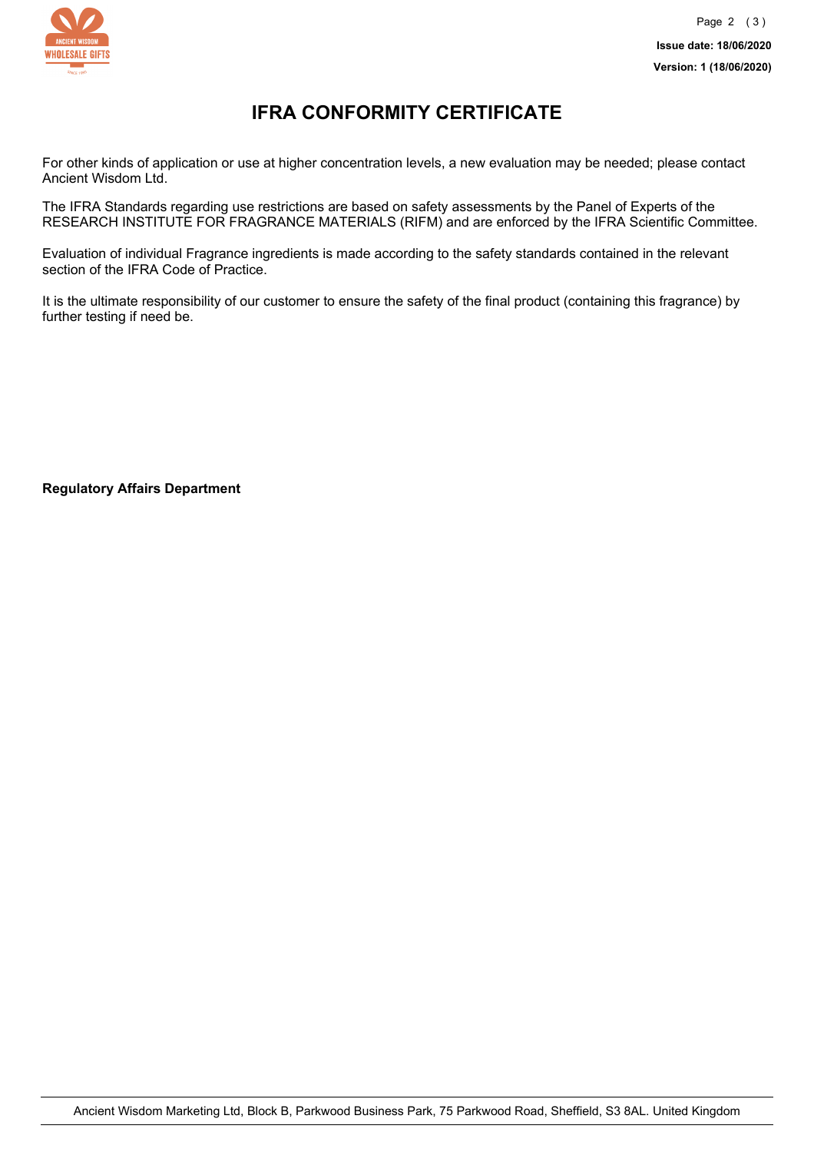

## **IFRA CONFORMITY CERTIFICATE**

For other kinds of application or use at higher concentration levels, a new evaluation may be needed; please contact Ancient Wisdom Ltd.

The IFRA Standards regarding use restrictions are based on safety assessments by the Panel of Experts of the RESEARCH INSTITUTE FOR FRAGRANCE MATERIALS (RIFM) and are enforced by the IFRA Scientific Committee.

Evaluation of individual Fragrance ingredients is made according to the safety standards contained in the relevant section of the IFRA Code of Practice.

It is the ultimate responsibility of our customer to ensure the safety of the final product (containing this fragrance) by further testing if need be.

**Regulatory Affairs Department**